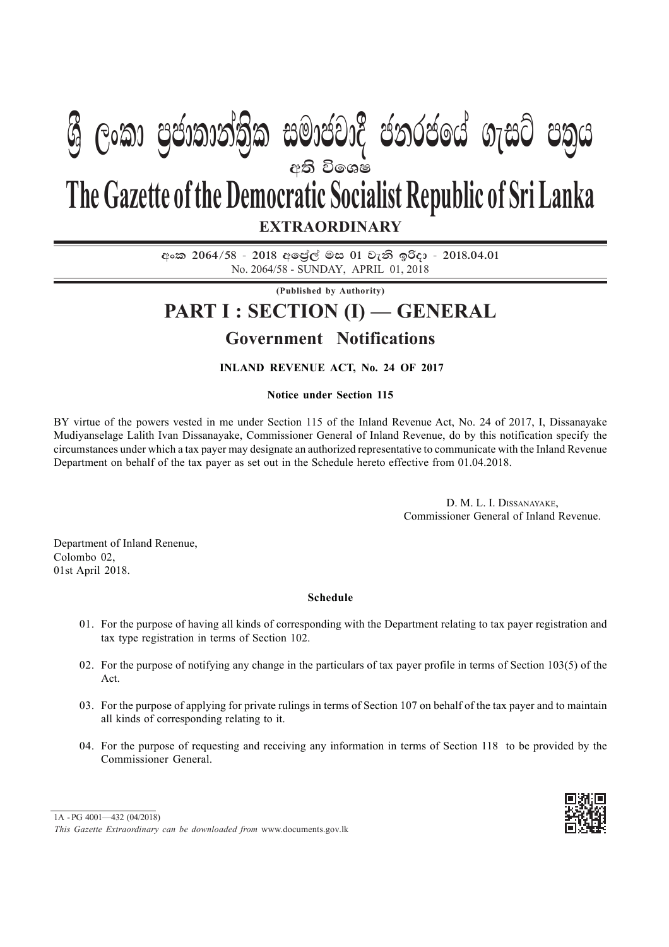# අති වි**ශෙ**ෂ **EXTRAORDINARY The Gazette of the Democratic Socialist Republic of Sri Lanka W Geibrough marche concert nim cbin**

 $\cos 2064/58 - 2018$  අපේල් මස 01 වැනි ඉරිදා - 2018.04.01 No. 2064/58 - SUNDAY, APRIL 01, 2018

**(Published by Authority)**

## **PART I : SECTION (I) — GENERAL**

### **Government Notifications**

#### **INLAND REVENUE ACT, No. 24 OF 2017**

#### **Notice under Section 115**

BY virtue of the powers vested in me under Section 115 of the Inland Revenue Act, No. 24 of 2017, I, Dissanayake Mudiyanselage Lalith Ivan Dissanayake, Commissioner General of Inland Revenue, do by this notification specify the circumstances under which a tax payer may designate an authorized representative to communicate with the Inland Revenue Department on behalf of the tax payer as set out in the Schedule hereto effective from 01.04.2018.

> D. M. L. I. DISSANAYAKE, Commissioner General of Inland Revenue.

Department of Inland Renenue, Colombo 02, 01st April 2018.

#### **Schedule**

- 01. For the purpose of having all kinds of corresponding with the Department relating to tax payer registration and tax type registration in terms of Section 102.
- 02. For the purpose of notifying any change in the particulars of tax payer profile in terms of Section 103(5) of the Act.
- 03. For the purpose of applying for private rulings in terms of Section 107 on behalf of the tax payer and to maintain all kinds of corresponding relating to it.
- 04. For the purpose of requesting and receiving any information in terms of Section 118 to be provided by the Commissioner General.



<sup>1</sup>A - PG 4001—432 (04/2018)

*This Gazette Extraordinary can be downloaded from* www.documents.gov.lk